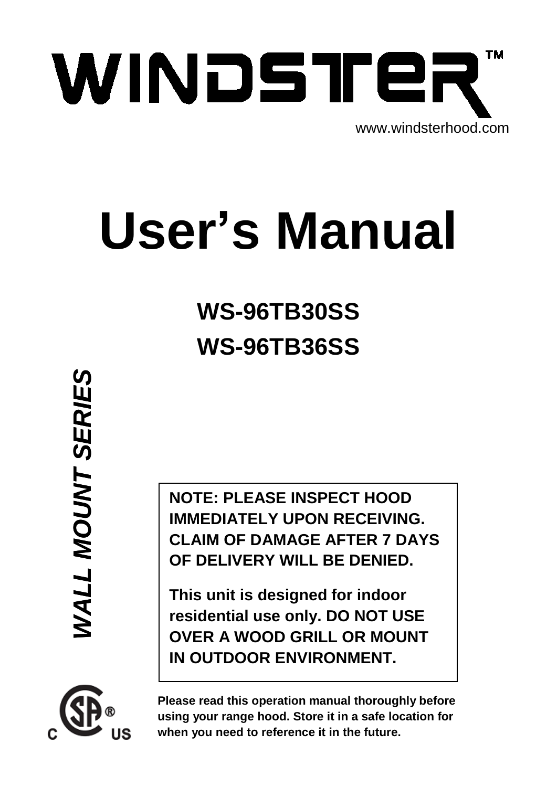

# **User's Manual**

# **WS-96TB30SS WS-96TB36SS**

**NOTE: PLEASE INSPECT HOOD IMMEDIATELY UPON RECEIVING. CLAIM OF DAMAGE AFTER 7 DAYS OF DELIVERY WILL BE DENIED.** 

**This unit is designed for indoor residential use only. DO NOT USE OVER A WOOD GRILL OR MOUNT IN OUTDOOR ENVIRONMENT.** 



**Please read this operation manual thoroughly before using your range hood. Store it in a safe location for when you need to reference it in the future.**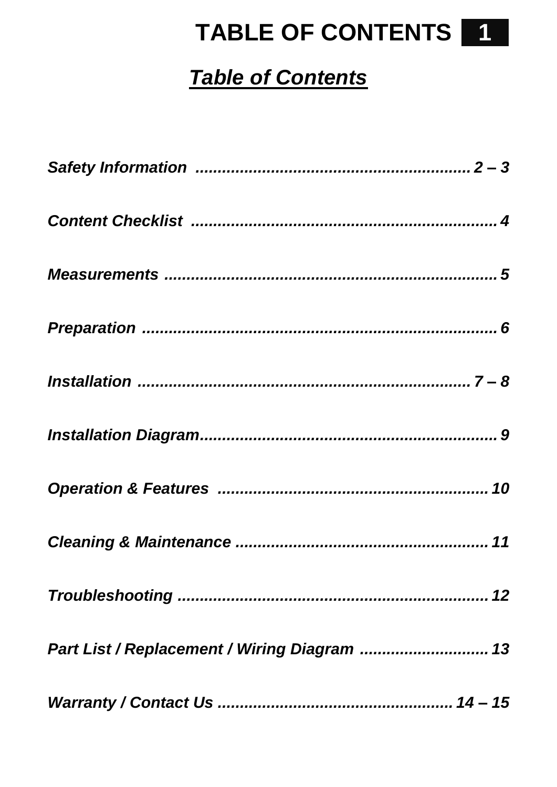# TABLE OF CONTENTS 1

# **Table of Contents**

| Part List / Replacement / Wiring Diagram  13 |
|----------------------------------------------|
|                                              |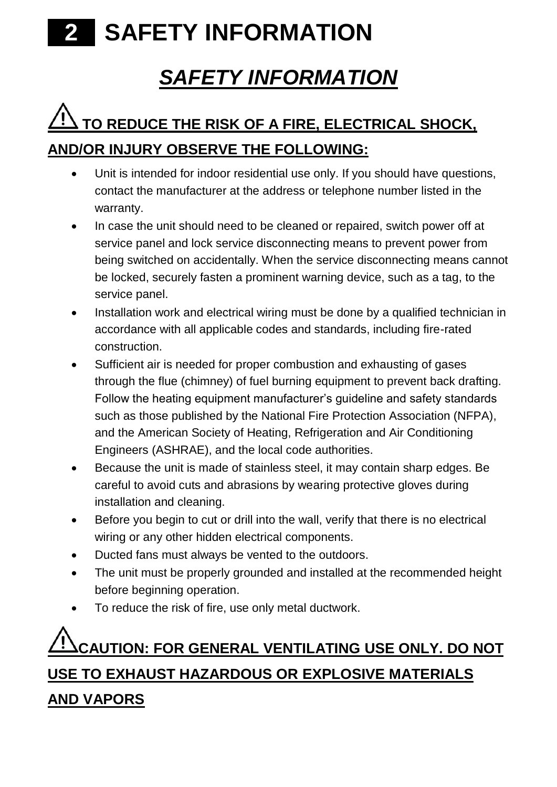# **2 SAFETY INFORMATION**

# *SAFETY INFORMATION*

# **TO REDUCE THE RISK OF A FIRE, ELECTRICAL SHOCK, AND/OR INJURY OBSERVE THE FOLLOWING:**

#### Unit is intended for indoor residential use only. If you should have questions, contact the manufacturer at the address or telephone number listed in the warranty.

- In case the unit should need to be cleaned or repaired, switch power off at service panel and lock service disconnecting means to prevent power from being switched on accidentally. When the service disconnecting means cannot be locked, securely fasten a prominent warning device, such as a tag, to the service panel.
- Installation work and electrical wiring must be done by a qualified technician in accordance with all applicable codes and standards, including fire-rated construction.
- Sufficient air is needed for proper combustion and exhausting of gases through the flue (chimney) of fuel burning equipment to prevent back drafting. Follow the heating equipment manufacturer's guideline and safety standards such as those published by the National Fire Protection Association (NFPA), and the American Society of Heating, Refrigeration and Air Conditioning Engineers (ASHRAE), and the local code authorities.
- Because the unit is made of stainless steel, it may contain sharp edges. Be careful to avoid cuts and abrasions by wearing protective gloves during installation and cleaning.
- Before you begin to cut or drill into the wall, verify that there is no electrical wiring or any other hidden electrical components.
- Ducted fans must always be vented to the outdoors.
- The unit must be properly grounded and installed at the recommended height before beginning operation.
- To reduce the risk of fire, use only metal ductwork.

## **CAUTION: FOR GENERAL VENTILATING USE ONLY. DO NOT USE TO EXHAUST HAZARDOUS OR EXPLOSIVE MATERIALS AND VAPORS**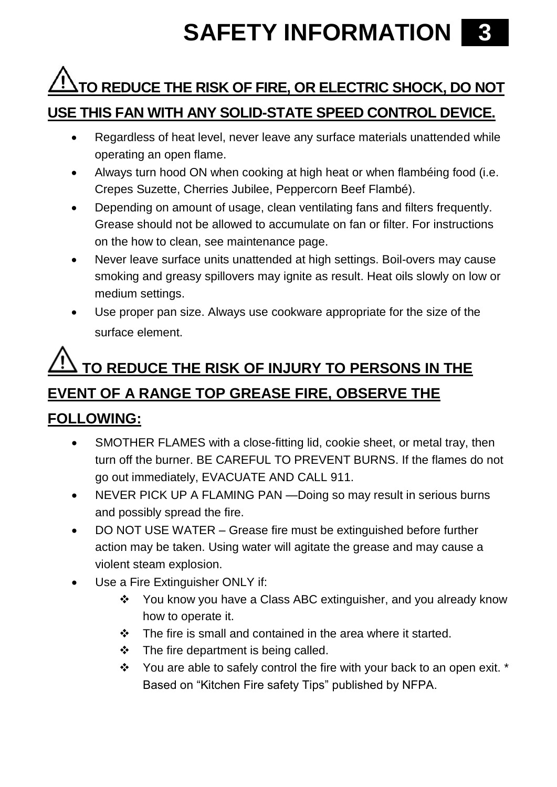# **SAFETY INFORMATION 3**

### **TO REDUCE THE RISK OF FIRE, OR ELECTRIC SHOCK, DO NOT USE THIS FAN WITH ANY SOLID-STATE SPEED CONTROL DEVICE.**

- Regardless of heat level, never leave any surface materials unattended while operating an open flame.
- Always turn hood ON when cooking at high heat or when flambéing food (i.e. Crepes Suzette, Cherries Jubilee, Peppercorn Beef Flambé).
- Depending on amount of usage, clean ventilating fans and filters frequently. Grease should not be allowed to accumulate on fan or filter. For instructions on the how to clean, see maintenance page.
- Never leave surface units unattended at high settings. Boil-overs may cause smoking and greasy spillovers may ignite as result. Heat oils slowly on low or medium settings.
- Use proper pan size. Always use cookware appropriate for the size of the surface element.

# **TO REDUCE THE RISK OF INJURY TO PERSONS IN THE EVENT OF A RANGE TOP GREASE FIRE, OBSERVE THE**

#### **FOLLOWING:**

- SMOTHER FLAMES with a close-fitting lid, cookie sheet, or metal tray, then turn off the burner. BE CAREFUL TO PREVENT BURNS. If the flames do not go out immediately, EVACUATE AND CALL 911.
- NEVER PICK UP A FLAMING PAN —Doing so may result in serious burns and possibly spread the fire.
- DO NOT USE WATER Grease fire must be extinguished before further action may be taken. Using water will agitate the grease and may cause a violent steam explosion.
- Use a Fire Extinguisher ONLY if:
	- \* You know you have a Class ABC extinguisher, and you already know how to operate it.
	- $\div$  The fire is small and contained in the area where it started.
	- $\div$  The fire department is being called.
	- \* You are able to safely control the fire with your back to an open exit. \* Based on "Kitchen Fire safety Tips" published by NFPA.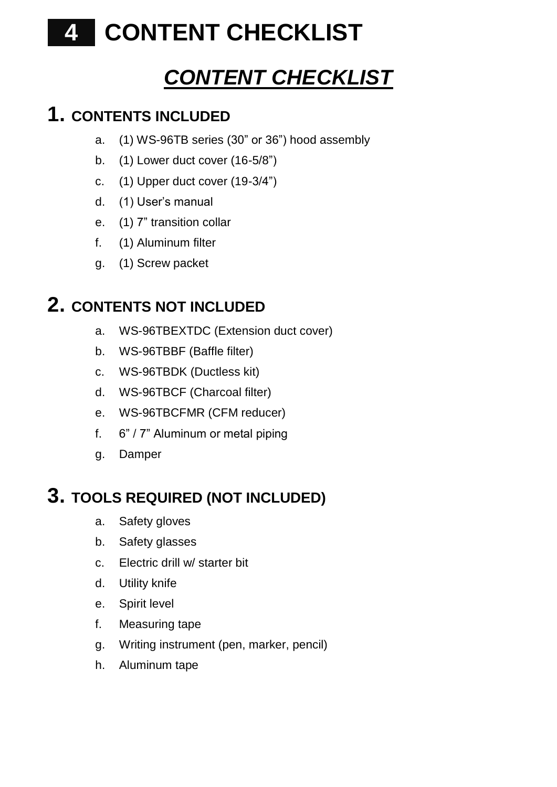# **4 CONTENT CHECKLIST**

# *CONTENT CHECKLIST*

#### **1. CONTENTS INCLUDED**

- a. (1) WS-96TB series (30" or 36") hood assembly
- b. (1) Lower duct cover (16-5/8")
- c. (1) Upper duct cover (19-3/4‖)
- d. (1) User's manual
- e. (1) 7" transition collar
- f. (1) Aluminum filter
- g. (1) Screw packet

#### **2. CONTENTS NOT INCLUDED**

- a. WS-96TBEXTDC (Extension duct cover)
- b. WS-96TBBF (Baffle filter)
- c. WS-96TBDK (Ductless kit)
- d. WS-96TBCF (Charcoal filter)
- e. WS-96TBCFMR (CFM reducer)
- f.  $6$ " / 7" Aluminum or metal piping
- g. Damper

#### **3. TOOLS REQUIRED (NOT INCLUDED)**

- a. Safety gloves
- b. Safety glasses
- c. Electric drill w/ starter bit
- d. Utility knife
- e. Spirit level
- f. Measuring tape
- g. Writing instrument (pen, marker, pencil)
- h. Aluminum tape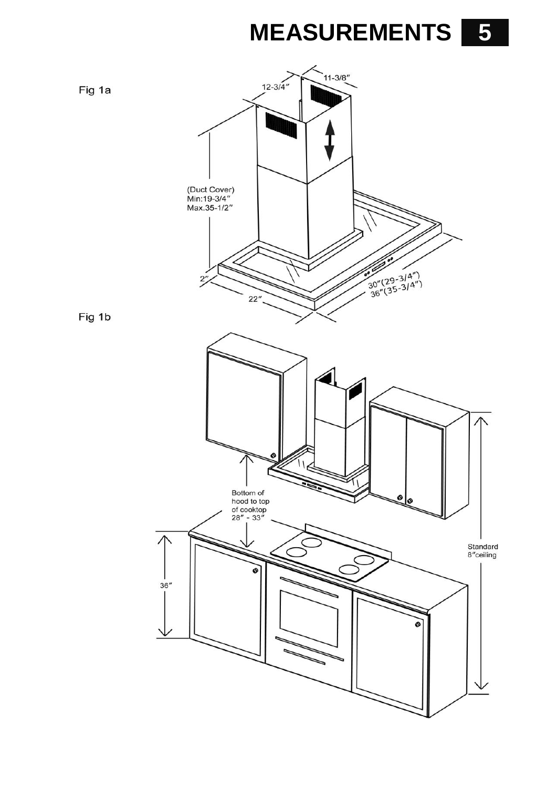**MEASUREMENTS 5**

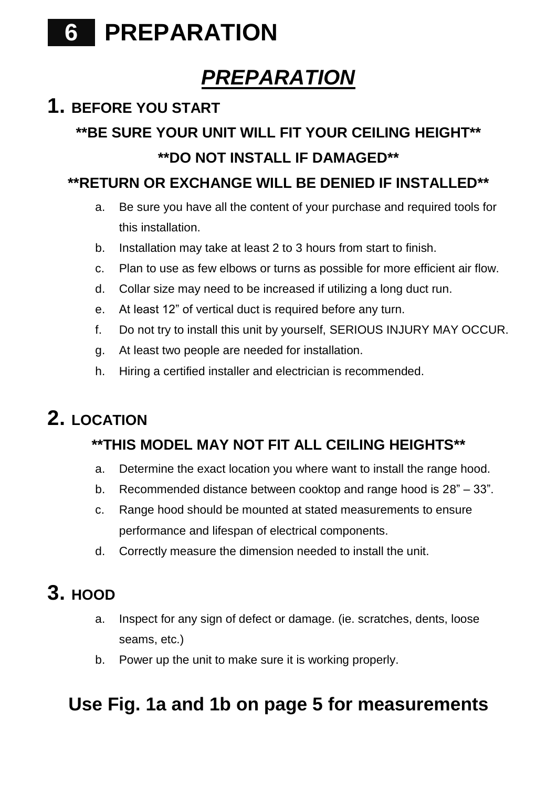

### *PREPARATION*

### **1. BEFORE YOU START \*\*BE SURE YOUR UNIT WILL FIT YOUR CEILING HEIGHT\*\* \*\*DO NOT INSTALL IF DAMAGED\*\***

#### **\*\*RETURN OR EXCHANGE WILL BE DENIED IF INSTALLED\*\***

- a. Be sure you have all the content of your purchase and required tools for this installation.
- b. Installation may take at least 2 to 3 hours from start to finish.
- c. Plan to use as few elbows or turns as possible for more efficient air flow.
- d. Collar size may need to be increased if utilizing a long duct run.
- e. At least 12" of vertical duct is required before any turn.
- f. Do not try to install this unit by yourself, SERIOUS INJURY MAY OCCUR.
- g. At least two people are needed for installation.
- h. Hiring a certified installer and electrician is recommended.

#### **2. LOCATION**

#### **\*\*THIS MODEL MAY NOT FIT ALL CEILING HEIGHTS\*\***

- a. Determine the exact location you where want to install the range hood.
- b. Recommended distance between cooktop and range hood is 28" 33".
- c. Range hood should be mounted at stated measurements to ensure performance and lifespan of electrical components.
- d. Correctly measure the dimension needed to install the unit.

#### **3. HOOD**

- a. Inspect for any sign of defect or damage. (ie. scratches, dents, loose seams, etc.)
- b. Power up the unit to make sure it is working properly.

### **Use Fig. 1a and 1b on page 5 for measurements**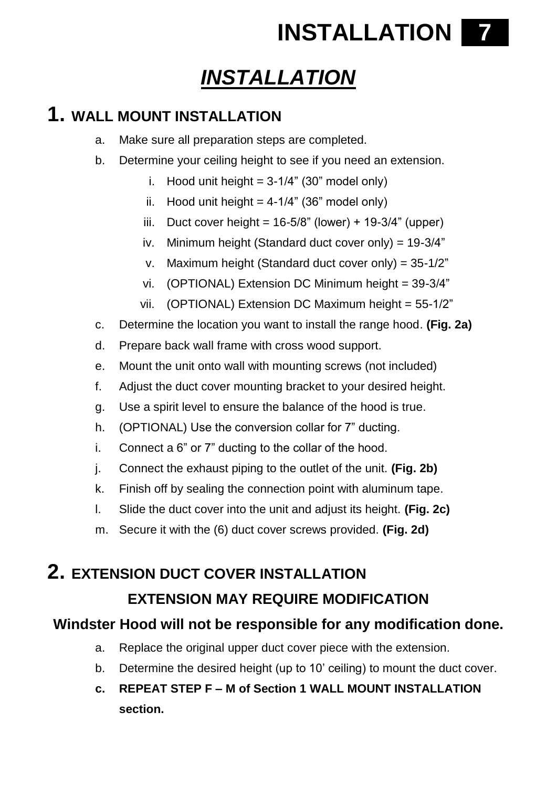# *INSTALLATION*

#### **1. WALL MOUNT INSTALLATION**

- a. Make sure all preparation steps are completed.
- b. Determine your ceiling height to see if you need an extension.
	- i. Hood unit height  $= 3-1/4$ " (30" model only)
	- ii. Hood unit height  $= 4-1/4$ " (36" model only)
	- iii. Duct cover height =  $16-5/8$ " (lower) +  $19-3/4$ " (upper)
	- iv. Minimum height (Standard duct cover only) =  $19-3/4$ "
	- v. Maximum height (Standard duct cover only) =  $35-1/2$ "
	- vi. (OPTIONAL) Extension DC Minimum height = 39-3/4"
	- vii. (OPTIONAL) Extension DC Maximum height = 55-1/2"
- c. Determine the location you want to install the range hood. **(Fig. 2a)**
- d. Prepare back wall frame with cross wood support.
- e. Mount the unit onto wall with mounting screws (not included)
- f. Adjust the duct cover mounting bracket to your desired height.
- g. Use a spirit level to ensure the balance of the hood is true.
- h. (OPTIONAL) Use the conversion collar for 7" ducting.
- i. Connect a  $6$ " or  $7$ " ducting to the collar of the hood.
- j. Connect the exhaust piping to the outlet of the unit. **(Fig. 2b)**
- k. Finish off by sealing the connection point with aluminum tape.
- l. Slide the duct cover into the unit and adjust its height. **(Fig. 2c)**
- m. Secure it with the (6) duct cover screws provided. **(Fig. 2d)**

### **2. EXTENSION DUCT COVER INSTALLATION EXTENSION MAY REQUIRE MODIFICATION**

#### **Windster Hood will not be responsible for any modification done.**

- a. Replace the original upper duct cover piece with the extension.
- b. Determine the desired height (up to 10' ceiling) to mount the duct cover.
- **c. REPEAT STEP F – M of Section 1 WALL MOUNT INSTALLATION section.**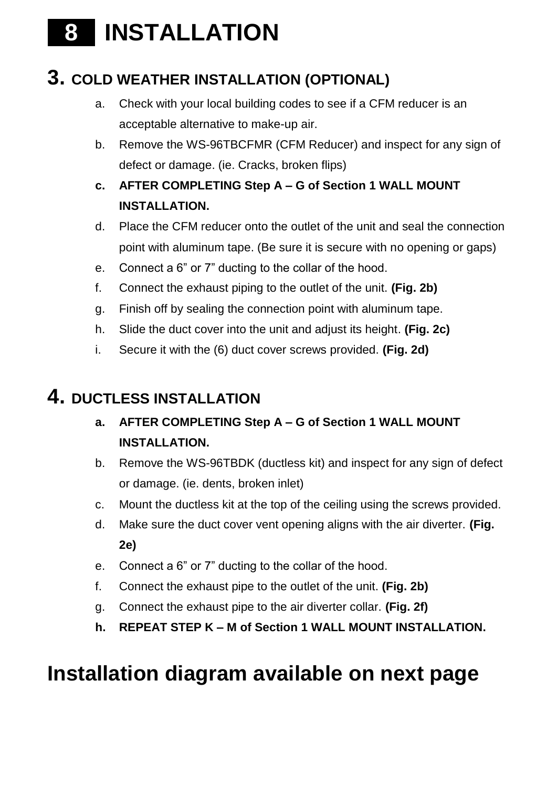# **8 INSTALLATION**

#### **3. COLD WEATHER INSTALLATION (OPTIONAL)**

- a. Check with your local building codes to see if a CFM reducer is an acceptable alternative to make-up air.
- b. Remove the WS-96TBCFMR (CFM Reducer) and inspect for any sign of defect or damage. (ie. Cracks, broken flips)
- **c. AFTER COMPLETING Step A – G of Section 1 WALL MOUNT INSTALLATION.**
- d. Place the CFM reducer onto the outlet of the unit and seal the connection point with aluminum tape. (Be sure it is secure with no opening or gaps)
- e. Connect a 6" or 7" ducting to the collar of the hood.
- f. Connect the exhaust piping to the outlet of the unit. **(Fig. 2b)**
- g. Finish off by sealing the connection point with aluminum tape.
- h. Slide the duct cover into the unit and adjust its height. **(Fig. 2c)**
- i. Secure it with the (6) duct cover screws provided. **(Fig. 2d)**

#### **4. DUCTLESS INSTALLATION**

- **a. AFTER COMPLETING Step A – G of Section 1 WALL MOUNT INSTALLATION.**
- b. Remove the WS-96TBDK (ductless kit) and inspect for any sign of defect or damage. (ie. dents, broken inlet)
- c. Mount the ductless kit at the top of the ceiling using the screws provided.
- d. Make sure the duct cover vent opening aligns with the air diverter. **(Fig. 2e)**
- e. Connect a 6" or 7" ducting to the collar of the hood.
- f. Connect the exhaust pipe to the outlet of the unit. **(Fig. 2b)**
- g. Connect the exhaust pipe to the air diverter collar. **(Fig. 2f)**
- **h. REPEAT STEP K – M of Section 1 WALL MOUNT INSTALLATION.**

### **Installation diagram available on next page**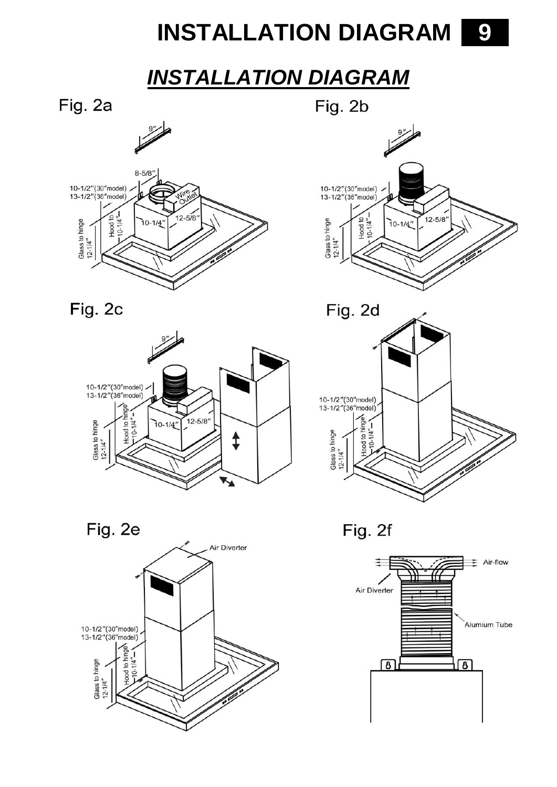# **INSTALLATION DIAGRAM 9**

### *INSTALLATION DIAGRAM*

Fig. 2a



Fig. 2c









Fig. 2f

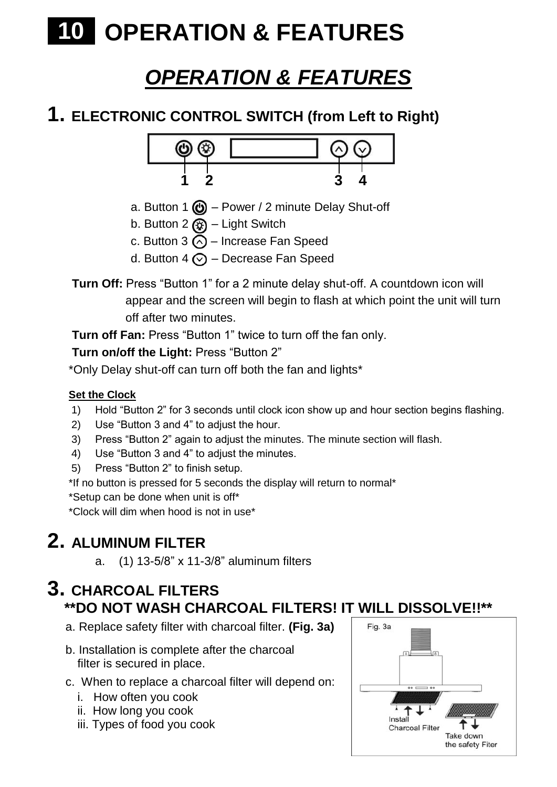# **10 OPERATION & FEATURES**

## *OPERATION & FEATURES*

#### **1. ELECTRONIC CONTROL SWITCH (from Left to Right)**



a. Button 1  $\textcircled{4}$  – Power / 2 minute Delay Shut-off

b. Button  $2 \circledcirc$  – Light Switch

- c. Button 3  $\overline{O}$  Increase Fan Speed
- d. Button 4  $\odot$  Decrease Fan Speed
- Turn Off: Press "Button 1" for a 2 minute delay shut-off. A countdown icon will appear and the screen will begin to flash at which point the unit will turn off after two minutes.

**Turn off Fan: Press "Button 1" twice to turn off the fan only.** 

#### Turn on/off the Light: Press "Button 2"

\*Only Delay shut-off can turn off both the fan and lights\*

#### **Set the Clock**

- 1) Hold "Button 2" for 3 seconds until clock icon show up and hour section begins flashing.
- 2) Use "Button 3 and 4" to adjust the hour.
- 3) Press "Button 2" again to adjust the minutes. The minute section will flash.
- 4) Use "Button 3 and 4" to adjust the minutes
- 5) Press "Button 2" to finish setup.

\*If no button is pressed for 5 seconds the display will return to normal\*

\*Setup can be done when unit is off\*

\*Clock will dim when hood is not in use\*

#### **2. ALUMINUM FILTER**

a. (1) 13-5/8" x 11-3/8" aluminum filters

#### **3. CHARCOAL FILTERS \*\*DO NOT WASH CHARCOAL FILTERS! IT WILL DISSOLVE!!\*\***

- a. Replace safety filter with charcoal filter. **(Fig. 3a)**
- b. Installation is complete after the charcoal filter is secured in place.
- c. When to replace a charcoal filter will depend on:
	- i. How often you cook
	- ii. How long you cook
	- iii. Types of food you cook

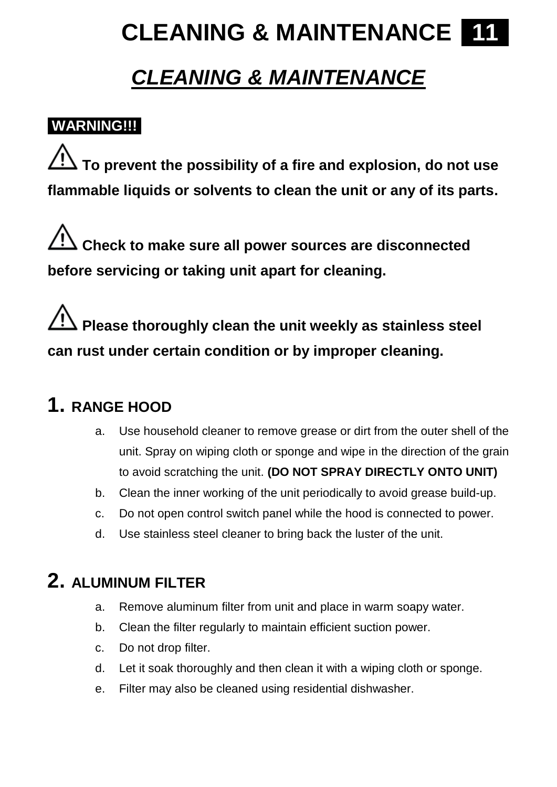# **CLEANING & MAINTENANCE 11**

# *CLEANING & MAINTENANCE*

#### **.WARNING!!!.**

**To prevent the possibility of a fire and explosion, do not use flammable liquids or solvents to clean the unit or any of its parts.**

**Check to make sure all power sources are disconnected before servicing or taking unit apart for cleaning.**

**Please thoroughly clean the unit weekly as stainless steel can rust under certain condition or by improper cleaning.**

#### **1. RANGE HOOD**

- a. Use household cleaner to remove grease or dirt from the outer shell of the unit. Spray on wiping cloth or sponge and wipe in the direction of the grain to avoid scratching the unit. **(DO NOT SPRAY DIRECTLY ONTO UNIT)**
- b. Clean the inner working of the unit periodically to avoid grease build-up.
- c. Do not open control switch panel while the hood is connected to power.
- d. Use stainless steel cleaner to bring back the luster of the unit.

#### **2. ALUMINUM FILTER**

- a. Remove aluminum filter from unit and place in warm soapy water.
- b. Clean the filter regularly to maintain efficient suction power.
- c. Do not drop filter.
- d. Let it soak thoroughly and then clean it with a wiping cloth or sponge.
- e. Filter may also be cleaned using residential dishwasher.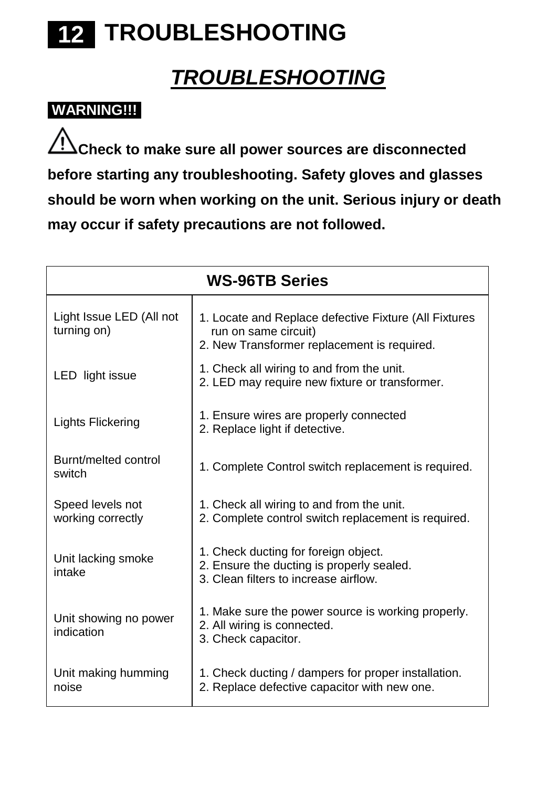

### *TROUBLESHOOTING*

#### **.WARNING!!!.**

**Check to make sure all power sources are disconnected before starting any troubleshooting. Safety gloves and glasses should be worn when working on the unit. Serious injury or death may occur if safety precautions are not followed.** 

| <b>WS-96TB Series</b>                   |                                                                                                                              |  |  |  |
|-----------------------------------------|------------------------------------------------------------------------------------------------------------------------------|--|--|--|
| Light Issue LED (All not<br>turning on) | 1. Locate and Replace defective Fixture (All Fixtures<br>run on same circuit)<br>2. New Transformer replacement is required. |  |  |  |
| LED light issue                         | 1. Check all wiring to and from the unit.<br>2. LED may require new fixture or transformer.                                  |  |  |  |
| Lights Flickering                       | 1. Ensure wires are properly connected<br>2. Replace light if detective.                                                     |  |  |  |
| Burnt/melted control<br>switch          | 1. Complete Control switch replacement is required.                                                                          |  |  |  |
| Speed levels not<br>working correctly   | 1. Check all wiring to and from the unit.<br>2. Complete control switch replacement is required.                             |  |  |  |
| Unit lacking smoke<br>intake            | 1. Check ducting for foreign object.<br>2. Ensure the ducting is properly sealed.<br>3. Clean filters to increase airflow.   |  |  |  |
| Unit showing no power<br>indication     | 1. Make sure the power source is working properly.<br>2. All wiring is connected.<br>3. Check capacitor.                     |  |  |  |
| Unit making humming<br>noise            | 1. Check ducting / dampers for proper installation.<br>2. Replace defective capacitor with new one.                          |  |  |  |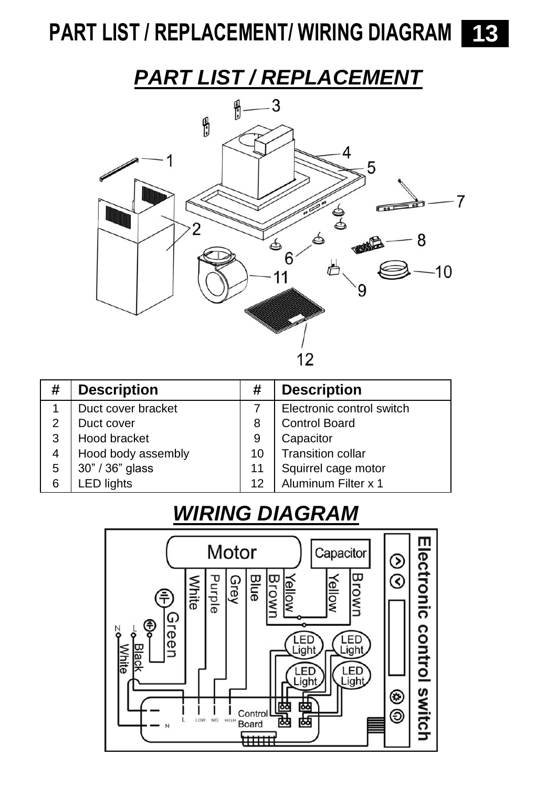# **PART LIST / REPLACEMENT/ WIRING DIAGRAM 13**

### *PART LIST / REPLACEMENT*



| # | <b>Description</b> | #  | <b>Description</b>        |
|---|--------------------|----|---------------------------|
|   | Duct cover bracket |    | Electronic control switch |
| 2 | Duct cover         | 8  | <b>Control Board</b>      |
| 3 | Hood bracket       | 9  | Capacitor                 |
| 4 | Hood body assembly | 10 | Transition collar         |
| 5 | 30" / 36" glass    | 11 | Squirrel cage motor       |
| 6 | LED lights         | 12 | Aluminum Filter x 1       |

# *WIRING DIAGRAM*

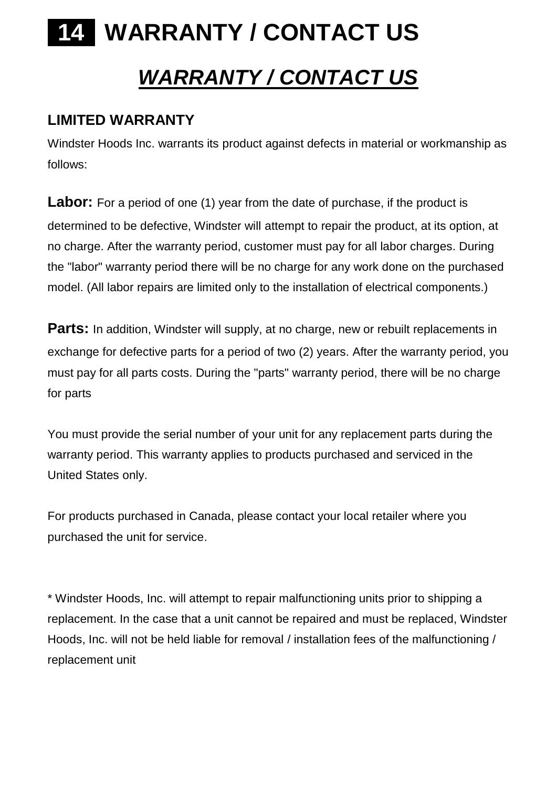# **14 WARRANTY / CONTACT US** *WARRANTY / CONTACT US*

#### **LIMITED WARRANTY**

Windster Hoods Inc. warrants its product against defects in material or workmanship as follows:

**Labor:** For a period of one (1) year from the date of purchase, if the product is determined to be defective, Windster will attempt to repair the product, at its option, at no charge. After the warranty period, customer must pay for all labor charges. During the "labor" warranty period there will be no charge for any work done on the purchased model. (All labor repairs are limited only to the installation of electrical components.)

**Parts:** In addition, Windster will supply, at no charge, new or rebuilt replacements in exchange for defective parts for a period of two (2) years. After the warranty period, you must pay for all parts costs. During the "parts" warranty period, there will be no charge for parts

You must provide the serial number of your unit for any replacement parts during the warranty period. This warranty applies to products purchased and serviced in the United States only.

For products purchased in Canada, please contact your local retailer where you purchased the unit for service.

\* Windster Hoods, Inc. will attempt to repair malfunctioning units prior to shipping a replacement. In the case that a unit cannot be repaired and must be replaced, Windster Hoods, Inc. will not be held liable for removal / installation fees of the malfunctioning / replacement unit